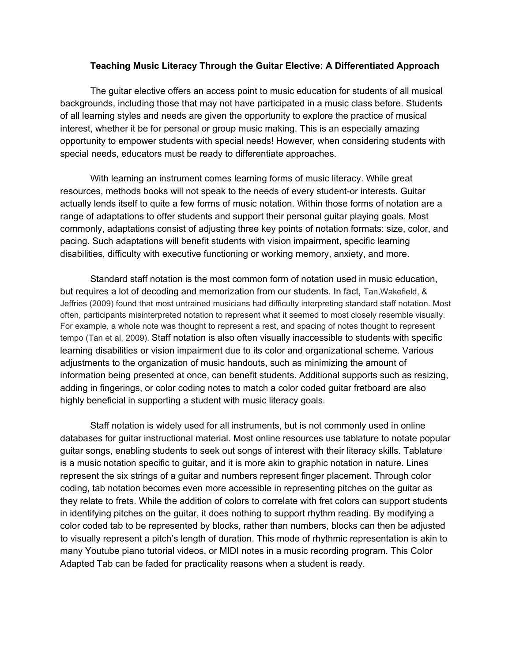## **Teaching Music Literacy Through the Guitar Elective: A Differentiated Approach**

 The guitar elective offers an access point to music education for students of all musical backgrounds, including those that may not have participated in a music class before. Students of all learning styles and needs are given the opportunity to explore the practice of musical interest, whether it be for personal or group music making. This is an especially amazing opportunity to empower students with special needs! However, when considering students with special needs, educators must be ready to differentiate approaches.

 With learning an instrument comes learning forms of music literacy. While great resources, methods books will not speak to the needs of every student-or interests. Guitar actually lends itself to quite a few forms of music notation. Within those forms of notation are a range of adaptations to offer students and support their personal guitar playing goals. Most commonly, adaptations consist of adjusting three key points of notation formats: size, color, and pacing. Such adaptations will benefit students with vision impairment, specific learning disabilities, difficulty with executive functioning or working memory, anxiety, and more.

 Standard staff notation is the most common form of notation used in music education, but requires a lot of decoding and memorization from our students. In fact, Tan,Wakefield, & Jeffries (2009) found that most untrained musicians had difficulty interpreting standard staff notation. Most often, participants misinterpreted notation to represent what it seemed to most closely resemble visually. For example, a whole note was thought to represent a rest, and spacing of notes thought to represent tempo (Tan et al, 2009). Staff notation is also often visually inaccessible to students with specific learning disabilities or vision impairment due to its color and organizational scheme. Various adjustments to the organization of music handouts, such as minimizing the amount of information being presented at once, can benefit students. Additional supports such as resizing, adding in fingerings, or color coding notes to match a color coded guitar fretboard are also highly beneficial in supporting a student with music literacy goals.

 Staff notation is widely used for all instruments, but is not commonly used in online databases for guitar instructional material. Most online resources use tablature to notate popular guitar songs, enabling students to seek out songs of interest with their literacy skills. Tablature is a music notation specific to guitar, and it is more akin to graphic notation in nature. Lines represent the six strings of a guitar and numbers represent finger placement. Through color coding, tab notation becomes even more accessible in representing pitches on the guitar as they relate to frets. While the addition of colors to correlate with fret colors can support students in identifying pitches on the guitar, it does nothing to support rhythm reading. By modifying a color coded tab to be represented by blocks, rather than numbers, blocks can then be adjusted to visually represent a pitch's length of duration. This mode of rhythmic representation is akin to many Youtube piano tutorial videos, or MIDI notes in a music recording program. This Color Adapted Tab can be faded for practicality reasons when a student is ready.